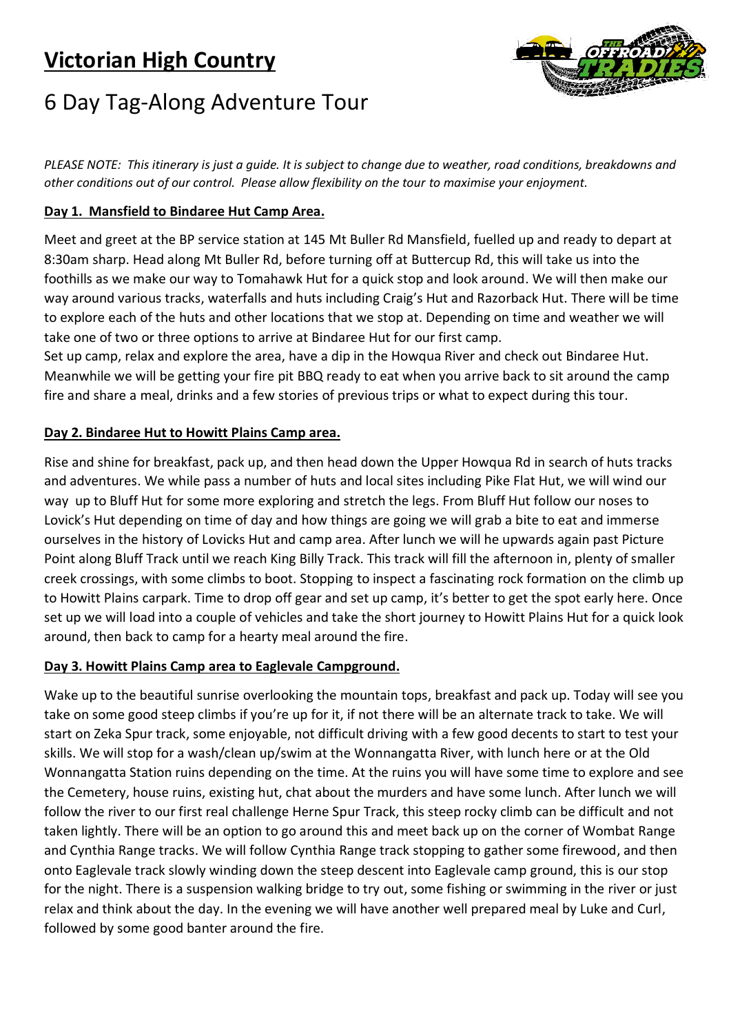# **Victorian High Country**



# 6 Day Tag-Along Adventure Tour

*PLEASE NOTE: This itinerary is just a guide. It is subject to change due to weather, road conditions, breakdowns and other conditions out of our control. Please allow flexibility on the tour to maximise your enjoyment.* 

### **Day 1. Mansfield to Bindaree Hut Camp Area.**

Meet and greet at the BP service station at 145 Mt Buller Rd Mansfield, fuelled up and ready to depart at 8:30am sharp. Head along Mt Buller Rd, before turning off at Buttercup Rd, this will take us into the foothills as we make our way to Tomahawk Hut for a quick stop and look around. We will then make our way around various tracks, waterfalls and huts including Craig's Hut and Razorback Hut. There will be time to explore each of the huts and other locations that we stop at. Depending on time and weather we will take one of two or three options to arrive at Bindaree Hut for our first camp.

Set up camp, relax and explore the area, have a dip in the Howqua River and check out Bindaree Hut. Meanwhile we will be getting your fire pit BBQ ready to eat when you arrive back to sit around the camp fire and share a meal, drinks and a few stories of previous trips or what to expect during this tour.

#### **Day 2. Bindaree Hut to Howitt Plains Camp area.**

Rise and shine for breakfast, pack up, and then head down the Upper Howqua Rd in search of huts tracks and adventures. We while pass a number of huts and local sites including Pike Flat Hut, we will wind our way up to Bluff Hut for some more exploring and stretch the legs. From Bluff Hut follow our noses to Lovick's Hut depending on time of day and how things are going we will grab a bite to eat and immerse ourselves in the history of Lovicks Hut and camp area. After lunch we will he upwards again past Picture Point along Bluff Track until we reach King Billy Track. This track will fill the afternoon in, plenty of smaller creek crossings, with some climbs to boot. Stopping to inspect a fascinating rock formation on the climb up to Howitt Plains carpark. Time to drop off gear and set up camp, it's better to get the spot early here. Once set up we will load into a couple of vehicles and take the short journey to Howitt Plains Hut for a quick look around, then back to camp for a hearty meal around the fire.

# **Day 3. Howitt Plains Camp area to Eaglevale Campground.**

Wake up to the beautiful sunrise overlooking the mountain tops, breakfast and pack up. Today will see you take on some good steep climbs if you're up for it, if not there will be an alternate track to take. We will start on Zeka Spur track, some enjoyable, not difficult driving with a few good decents to start to test your skills. We will stop for a wash/clean up/swim at the Wonnangatta River, with lunch here or at the Old Wonnangatta Station ruins depending on the time. At the ruins you will have some time to explore and see the Cemetery, house ruins, existing hut, chat about the murders and have some lunch. After lunch we will follow the river to our first real challenge Herne Spur Track, this steep rocky climb can be difficult and not taken lightly. There will be an option to go around this and meet back up on the corner of Wombat Range and Cynthia Range tracks. We will follow Cynthia Range track stopping to gather some firewood, and then onto Eaglevale track slowly winding down the steep descent into Eaglevale camp ground, this is our stop for the night. There is a suspension walking bridge to try out, some fishing or swimming in the river or just relax and think about the day. In the evening we will have another well prepared meal by Luke and Curl, followed by some good banter around the fire.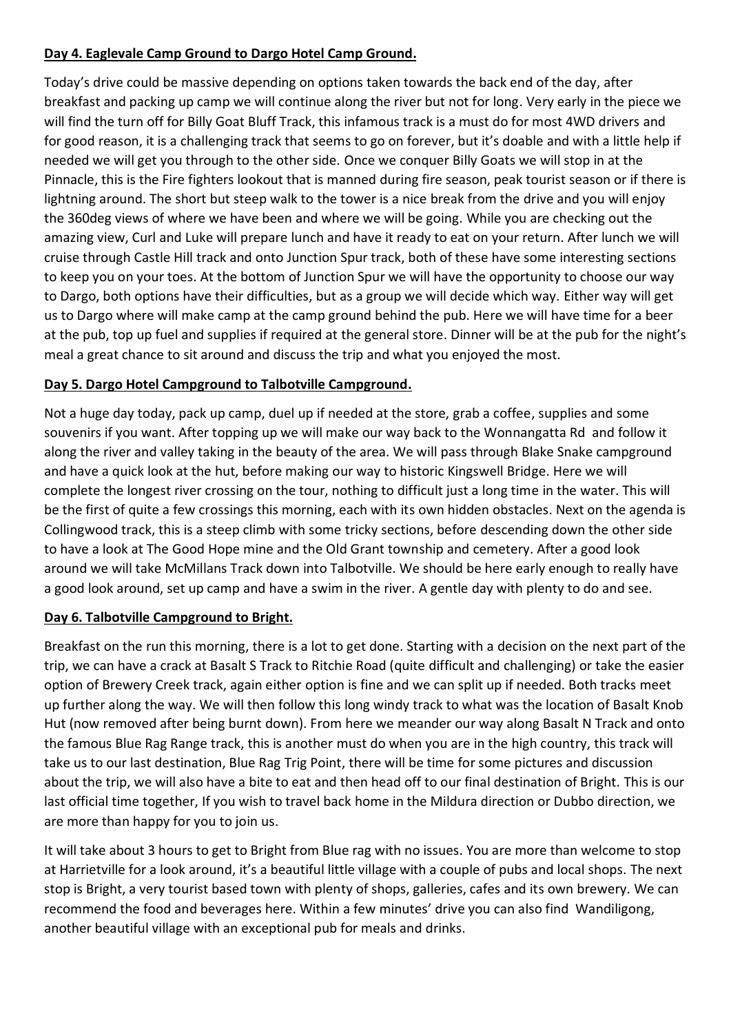### **Day 4. Eaglevale Camp Ground to Dargo Hotel Camp Ground.**

Today's drive could be massive depending on options taken towards the back end of the day, after breakfast and packing up camp we will continue along the river but not for long. Very early in the piece we will find the turn off for Billy Goat Bluff Track, this infamous track is a must do for most 4WD drivers and for good reason, it is a challenging track that seems to go on forever, but it's doable and with a little help if needed we will get you through to the other side. Once we conquer Billy Goats we will stop in at the Pinnacle, this is the Fire fighters lookout that is manned during fire season, peak tourist season or if there is lightning around. The short but steep walk to the tower is a nice break from the drive and you will enjoy the 360deg views of where we have been and where we will be going. While you are checking out the amazing view, Curl and Luke will prepare lunch and have it ready to eat on your return. After lunch we will cruise through Castle Hill track and onto Junction Spur track, both of these have some interesting sections to keep you on your toes. At the bottom of Junction Spur we will have the opportunity to choose our way to Dargo, both options have their difficulties, but as a group we will decide which way. Either way will get us to Dargo where will make camp at the camp ground behind the pub. Here we will have time for a beer at the pub, top up fuel and supplies if required at the general store. Dinner will be at the pub for the night's meal a great chance to sit around and discuss the trip and what you enjoyed the most.

# **Day 5. Dargo Hotel Campground to Talbotville Campground.**

Not a huge day today, pack up camp, duel up if needed at the store, grab a coffee, supplies and some souvenirs if you want. After topping up we will make our way back to the Wonnangatta Rd and follow it along the river and valley taking in the beauty of the area. We will pass through Blake Snake campground and have a quick look at the hut, before making our way to historic Kingswell Bridge. Here we will complete the longest river crossing on the tour, nothing to difficult just a long time in the water. This will be the first of quite a few crossings this morning, each with its own hidden obstacles. Next on the agenda is Collingwood track, this is a steep climb with some tricky sections, before descending down the other side to have a look at The Good Hope mine and the Old Grant township and cemetery. After a good look around we will take McMillans Track down into Talbotville. We should be here early enough to really have a good look around, set up camp and have a swim in the river. A gentle day with plenty to do and see.

# **Day 6. Talbotville Campground to Bright.**

Breakfast on the run this morning, there is a lot to get done. Starting with a decision on the next part of the trip, we can have a crack at Basalt S Track to Ritchie Road (quite difficult and challenging) or take the easier option of Brewery Creek track, again either option is fine and we can split up if needed. Both tracks meet up further along the way. We will then follow this long windy track to what was the location of Basalt Knob Hut (now removed after being burnt down). From here we meander our way along Basalt N Track and onto the famous Blue Rag Range track, this is another must do when you are in the high country, this track will take us to our last destination, Blue Rag Trig Point, there will be time for some pictures and discussion about the trip, we will also have a bite to eat and then head off to our final destination of Bright. This is our last official time together, If you wish to travel back home in the Mildura direction or Dubbo direction, we are more than happy for you to join us.

It will take about 3 hours to get to Bright from Blue rag with no issues. You are more than welcome to stop at Harrietville for a look around, it's a beautiful little village with a couple of pubs and local shops. The next stop is Bright, a very tourist based town with plenty of shops, galleries, cafes and its own brewery. We can recommend the food and beverages here. Within a few minutes' drive you can also find Wandiligong, another beautiful village with an exceptional pub for meals and drinks.